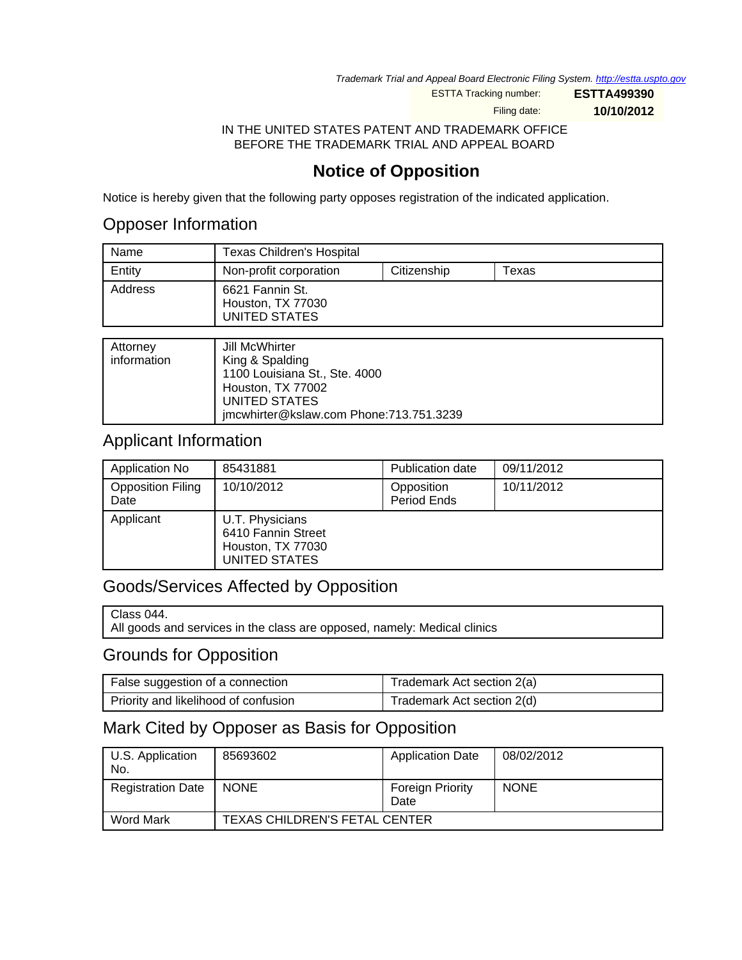Trademark Trial and Appeal Board Electronic Filing System. <http://estta.uspto.gov>

ESTTA Tracking number: **ESTTA499390**

Filing date: **10/10/2012**

IN THE UNITED STATES PATENT AND TRADEMARK OFFICE BEFORE THE TRADEMARK TRIAL AND APPEAL BOARD

## **Notice of Opposition**

Notice is hereby given that the following party opposes registration of the indicated application.

### Opposer Information

| Name    | <b>Texas Children's Hospital</b>                      |             |       |
|---------|-------------------------------------------------------|-------------|-------|
| Entity  | Non-profit corporation                                | Citizenship | Texas |
| Address | 6621 Fannin St.<br>Houston, TX 77030<br>UNITED STATES |             |       |

#### Applicant Information

| Application No                   | 85431881                                                                    | Publication date          | 09/11/2012 |
|----------------------------------|-----------------------------------------------------------------------------|---------------------------|------------|
| <b>Opposition Filing</b><br>Date | 10/10/2012                                                                  | Opposition<br>Period Ends | 10/11/2012 |
| Applicant                        | U.T. Physicians<br>6410 Fannin Street<br>Houston, TX 77030<br>UNITED STATES |                           |            |

### Goods/Services Affected by Opposition

All goods and services in the class are opposed, namely: Medical clinics

### Grounds for Opposition

| False suggestion of a connection     | Trademark Act section 2(a) |
|--------------------------------------|----------------------------|
| Priority and likelihood of confusion | Trademark Act section 2(d) |

#### Mark Cited by Opposer as Basis for Opposition

| U.S. Application<br>No.  | 85693602                      | <b>Application Date</b>         | 08/02/2012  |
|--------------------------|-------------------------------|---------------------------------|-------------|
| <b>Registration Date</b> | <b>NONE</b>                   | <b>Foreign Priority</b><br>Date | <b>NONE</b> |
| <b>Word Mark</b>         | TEXAS CHILDREN'S FETAL CENTER |                                 |             |

Class 044.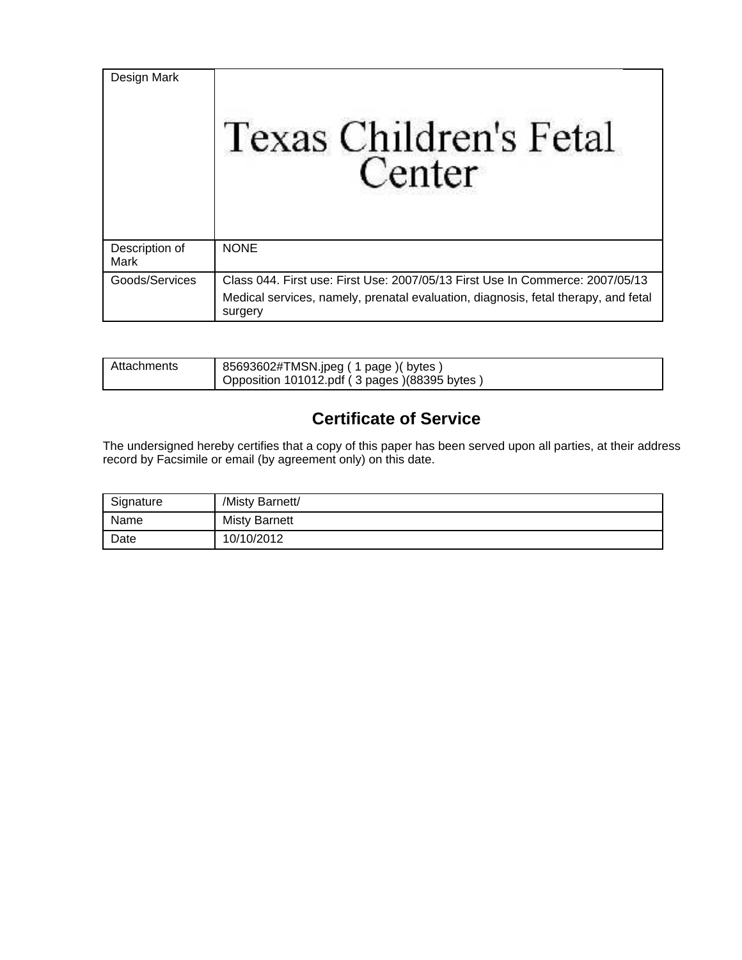| Design Mark            | Texas Children's Fetal<br>Center                                                                                                                                               |
|------------------------|--------------------------------------------------------------------------------------------------------------------------------------------------------------------------------|
| Description of<br>Mark | <b>NONE</b>                                                                                                                                                                    |
| Goods/Services         | Class 044. First use: First Use: 2007/05/13 First Use In Commerce: 2007/05/13<br>Medical services, namely, prenatal evaluation, diagnosis, fetal therapy, and fetal<br>surgery |

| Attachments | 85693602#TMSN.jpeg (1 page) (bytes)<br>Opposition 101012.pdf (3 pages) (88395 bytes) |
|-------------|--------------------------------------------------------------------------------------|
|             |                                                                                      |

# **Certificate of Service**

The undersigned hereby certifies that a copy of this paper has been served upon all parties, at their address record by Facsimile or email (by agreement only) on this date.

| Signature | /Misty Barnett/      |
|-----------|----------------------|
| Name      | <b>Misty Barnett</b> |
| Date      | 10/10/2012           |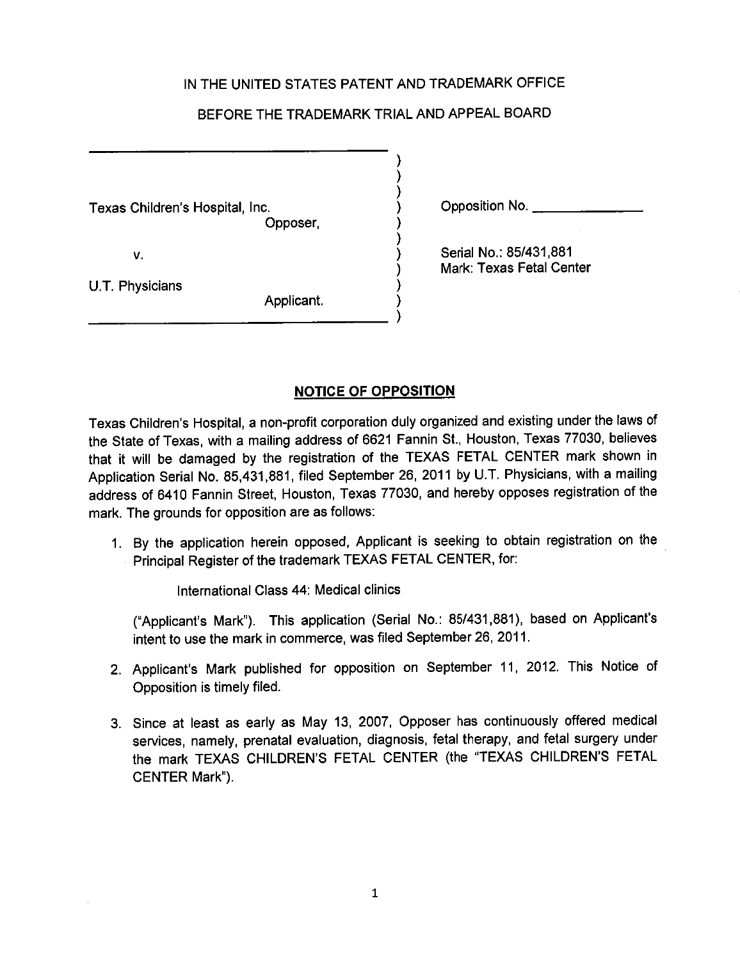#### IN THE UNITED STATES PATENT AND TRADEMARK OFFICE

#### BEFORE THE TRADEMARK TRIAL AND APPEAL BOARD

Texas Children's Hospital, Inc. Opposer,

V.

Opposition No.

U.T. Physicians

Serial No.: 85/431.881 Mark: Texas Fetal Center

Applicant.

#### **NOTICE OF OPPOSITION**

Texas Children's Hospital, a non-profit corporation duly organized and existing under the laws of the State of Texas, with a mailing address of 6621 Fannin St., Houston, Texas 77030, believes that it will be damaged by the registration of the TEXAS FETAL CENTER mark shown in Application Serial No. 85,431,881, filed September 26, 2011 by U.T. Physicians, with a mailing address of 6410 Fannin Street, Houston, Texas 77030, and hereby opposes registration of the mark. The grounds for opposition are as follows:

1. By the application herein opposed, Applicant is seeking to obtain registration on the Principal Register of the trademark TEXAS FETAL CENTER, for:

International Class 44: Medical clinics

("Applicant's Mark"). This application (Serial No.: 85/431,881), based on Applicant's intent to use the mark in commerce, was filed September 26, 2011.

- 2. Applicant's Mark published for opposition on September 11, 2012. This Notice of Opposition is timely filed.
- 3. Since at least as early as May 13, 2007, Opposer has continuously offered medical services, namely, prenatal evaluation, diagnosis, fetal therapy, and fetal surgery under the mark TEXAS CHILDREN'S FETAL CENTER (the "TEXAS CHILDREN'S FETAL CENTER Mark").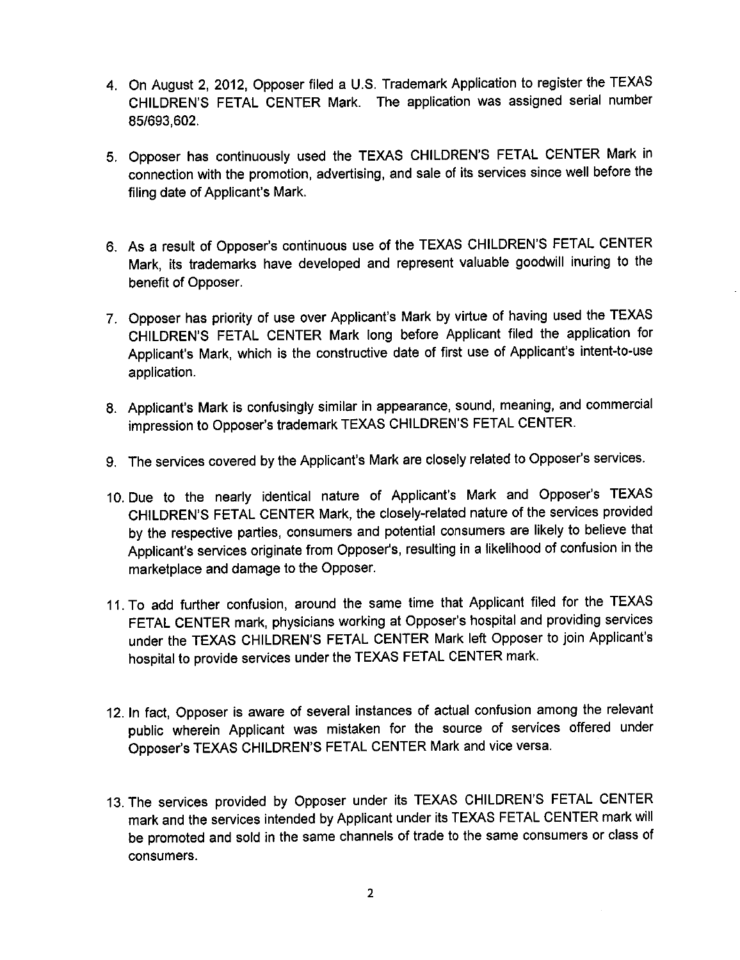- 4. On August 2, 2012, Opposer filed a U.S. Trademark Application to register the TEXAS CHILDREN'S FETAL CENTER Mark. The application was assigned serial number 85/693,602.
- 5. Opposer has continuously used the TEXAS CHILDREN'S FETAL CENTER Mark in connection with the promotion, advertising, and sale of its services since well before the filing date of Applicant's Mark.
- 6. As a result of Opposer's continuous use of the TEXAS CHILDREN'S FETAL CENTER Mark, its trademarks have developed and represent valuable goodwill inuring to the benefit of Opposer.
- 7. Opposer has priority of use over Applicant's Mark by virtue of having used the TEXAS CHILDREN'S FETAL CENTER Mark long before Applicant filed the application for Applicant's Mark, which is the constructive date of first use of Applicant's intent-to-use application.
- 8. Applicant's Mark is confusingly similar in appearance, sound, meaning, and commercial impression to Opposer's trademark TEXAS CHILDREN'S FETAL CENTER.
- 9. The services covered by the Applicant's Mark are closely related to Opposer's services.
- 10. Due to the nearly identical nature of Applicant's Mark and Opposer's TEXAS CHILDREN'S FETAL CENTER Mark, the closely-related nature of the services provided by the respective parties, consumers and potential consumers are likely to believe that Applicant's services originate from Opposer's, resulting in a likelihood of confusion in the marketplace and damage to the Opposer.
- 11. To add further confusion, around the same time that Applicant filed for the TEXAS FETAL CENTER mark, physicians working at Opposer's hospital and providing services under the TEXAS CHILDREN'S FETAL CENTER Mark left Opposer to join Applicant's hospital to provide services under the TEXAS FETAL CENTER mark.
- 12. In fact, Opposer is aware of several instances of actual confusion among the relevant public wherein Applicant was mistaken for the source of services offered under Opposer's TEXAS CHILDREN'S FETAL CENTER Mark and vice versa.
- 13. The services provided by Opposer under its TEXAS CHILDREN'S FETAL CENTER mark and the services intended by Applicant under its TEXAS FETAL CENTER mark will be promoted and sold in the same channels of trade to the same consumers or class of consumers.